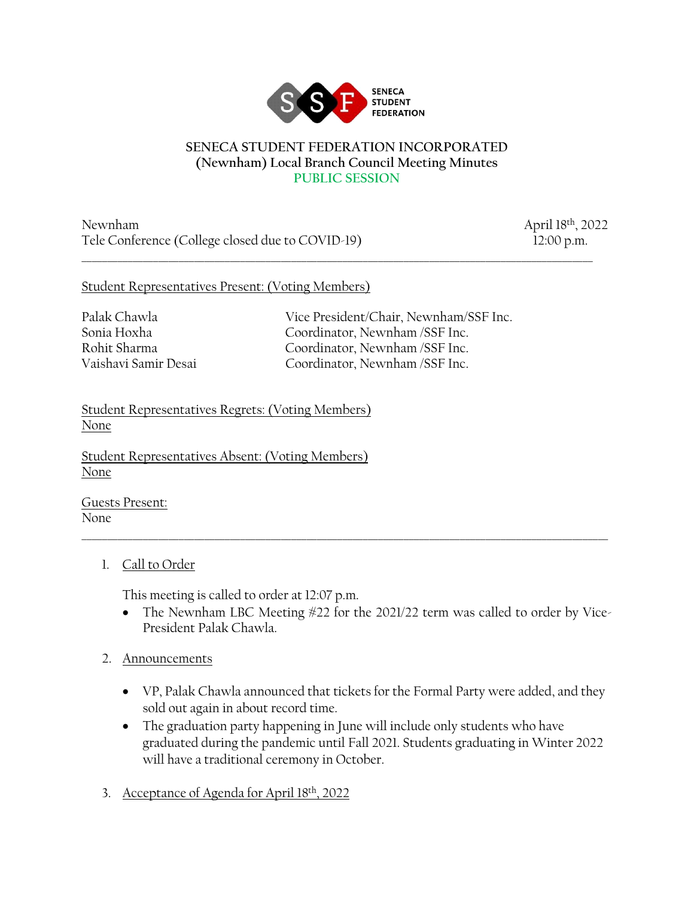

#### **SENECA STUDENT FEDERATION INCORPORATED (Newnham) Local Branch Council Meeting Minutes PUBLIC SESSION**

\_\_\_\_\_\_\_\_\_\_\_\_\_\_\_\_\_\_\_\_\_\_\_\_\_\_\_\_\_\_\_\_\_\_\_\_\_\_\_\_\_\_\_\_\_\_\_\_\_\_\_\_\_\_\_\_\_\_\_\_\_\_\_\_\_\_\_\_\_\_\_\_\_\_\_\_\_\_\_\_\_\_\_\_\_\_\_\_\_\_\_\_\_\_\_\_\_\_\_\_

Newnham April 18th, 2022 Tele Conference (College closed due to COVID-19) 12:00 p.m.

#### Student Representatives Present: (Voting Members)

Palak Chawla Vice President/Chair, Newnham/SSF Inc. Sonia Hoxha Coordinator, Newnham /SSF Inc. Rohit Sharma Coordinator, Newnham /SSF Inc. Vaishavi Samir Desai Coordinator, Newnham /SSF Inc.

Student Representatives Regrets: (Voting Members) None

Student Representatives Absent: (Voting Members) None

Guests Present: None

# 1. Call to Order

This meeting is called to order at 12:07 p.m.

• The Newnham LBC Meeting #22 for the 2021/22 term was called to order by Vice-President Palak Chawla.

\_\_\_\_\_\_\_\_\_\_\_\_\_\_\_\_\_\_\_\_\_\_\_\_\_\_\_\_\_\_\_\_\_\_\_\_\_\_\_\_\_\_\_\_\_\_\_\_\_\_\_\_\_\_\_\_\_\_\_\_\_\_\_\_\_\_\_\_\_\_\_\_\_\_\_\_\_\_\_\_\_\_\_\_\_\_\_\_\_\_\_\_\_\_\_\_\_\_\_\_\_\_\_

- 2. Announcements
	- VP, Palak Chawla announced that tickets for the Formal Party were added, and they sold out again in about record time.
	- The graduation party happening in June will include only students who have graduated during the pandemic until Fall 2021. Students graduating in Winter 2022 will have a traditional ceremony in October.
- 3. Acceptance of Agenda for April 18th, 2022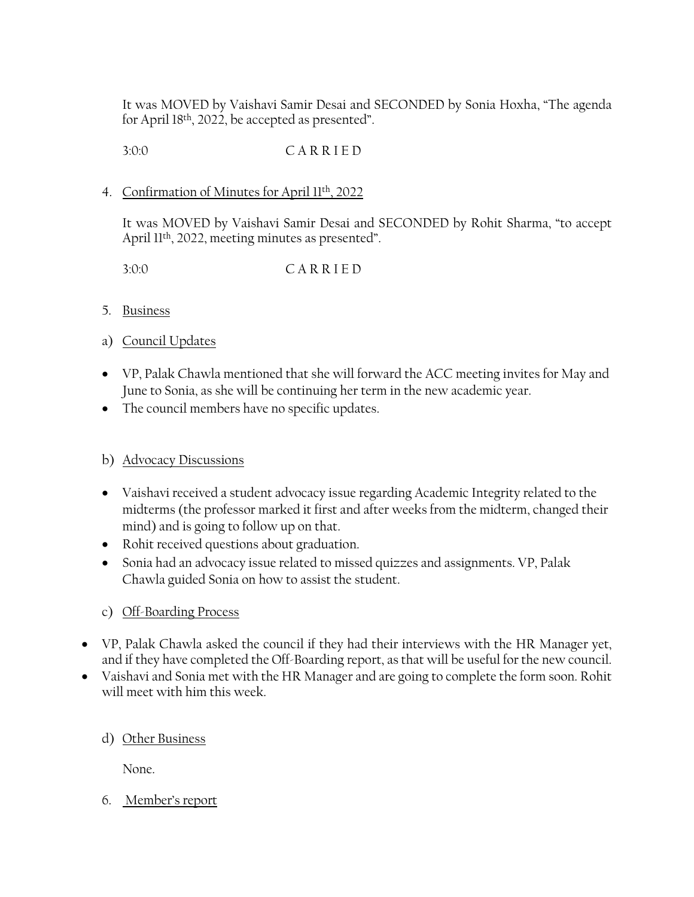It was MOVED by Vaishavi Samir Desai and SECONDED by Sonia Hoxha, "The agenda for April 18th, 2022, be accepted as presented".

3:0:0 C A R R I E D

### 4. Confirmation of Minutes for April 11th, 2022

It was MOVED by Vaishavi Samir Desai and SECONDED by Rohit Sharma, "to accept April 11<sup>th</sup>, 2022, meeting minutes as presented".

3:0:0 C A R R I E D

## 5. Business

## a) Council Updates

- VP, Palak Chawla mentioned that she will forward the ACC meeting invites for May and June to Sonia, as she will be continuing her term in the new academic year.
- The council members have no specific updates.

# b) Advocacy Discussions

- Vaishavi received a student advocacy issue regarding Academic Integrity related to the midterms (the professor marked it first and after weeks from the midterm, changed their mind) and is going to follow up on that.
- Rohit received questions about graduation.
- Sonia had an advocacy issue related to missed quizzes and assignments. VP, Palak Chawla guided Sonia on how to assist the student.
- c) Off-Boarding Process
- VP, Palak Chawla asked the council if they had their interviews with the HR Manager yet, and if they have completed the Off-Boarding report, as that will be useful for the new council.
- Vaishavi and Sonia met with the HR Manager and are going to complete the form soon. Rohit will meet with him this week.

#### d) Other Business

None.

# 6. Member's report